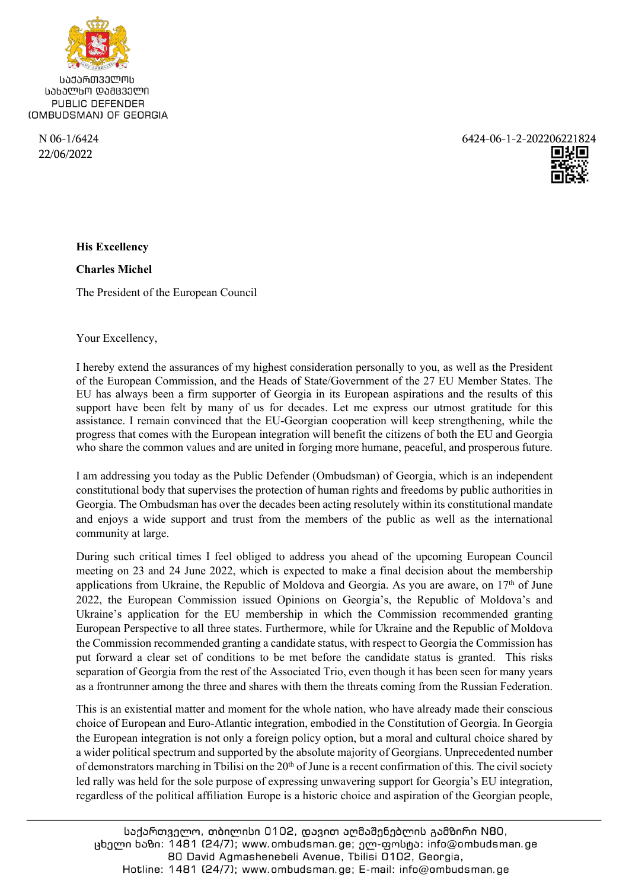

ᲡᲐᲥᲐᲠᲗᲕᲔᲚᲝᲡ ᲡᲐᲮᲐᲚᲮᲝ ᲓᲐᲛᲪᲕᲔᲚᲘ PUBLIC DEFENDER (OMBUDSMAN) OF GEORGIA

22/06/2022

N 06-1/6424 6424-06-1-2-202206221824



**Charles Michel** 

The President of the European Council

Your Excellency,

I hereby extend the assurances of my highest consideration personally to you, as well as the President of the European Commission, and the Heads of State/Government of the 27 EU Member States. The EU has always been a firm supporter of Georgia in its European aspirations and the results of this support have been felt by many of us for decades. Let me express our utmost gratitude for this assistance. I remain convinced that the EU-Georgian cooperation will keep strengthening, while the progress that comes with the European integration will benefit the citizens of both the EU and Georgia who share the common values and are united in forging more humane, peaceful, and prosperous future.

I am addressing you today as the Public Defender (Ombudsman) of Georgia, which is an independent constitutional body that supervises the protection of human rights and freedoms by public authorities in Georgia. The Ombudsman has over the decades been acting resolutely within its constitutional mandate and enjoys a wide support and trust from the members of the public as well as the international community at large.

During such critical times I feel obliged to address you ahead of the upcoming European Council meeting on 23 and 24 June 2022, which is expected to make a final decision about the membership applications from Ukraine, the Republic of Moldova and Georgia. As you are aware, on  $17<sup>th</sup>$  of June 2022, the European Commission issued Opinions on Georgia's, the Republic of Moldova's and Ukraine's application for the EU membership in which the Commission recommended granting European Perspective to all three states. Furthermore, while for Ukraine and the Republic of Moldova the Commission recommended granting a candidate status, with respect to Georgia the Commission has put forward a clear set of conditions to be met before the candidate status is granted. This risks separation of Georgia from the rest of the Associated Trio, even though it has been seen for many years as a frontrunner among the three and shares with them the threats coming from the Russian Federation.

This is an existential matter and moment for the whole nation, who have already made their conscious choice of European and Euro-Atlantic integration, embodied in the Constitution of Georgia. In Georgia the European integration is not only a foreign policy option, but a moral and cultural choice shared by a wider political spectrum and supported by the absolute majority of Georgians. Unprecedented number of demonstrators marching in Tbilisi on the  $20<sup>th</sup>$  of June is a recent confirmation of this. The civil society led rally was held for the sole purpose of expressing unwavering support for Georgia's EU integration, regardless of the political affiliation. Europe is a historic choice and aspiration of the Georgian people,